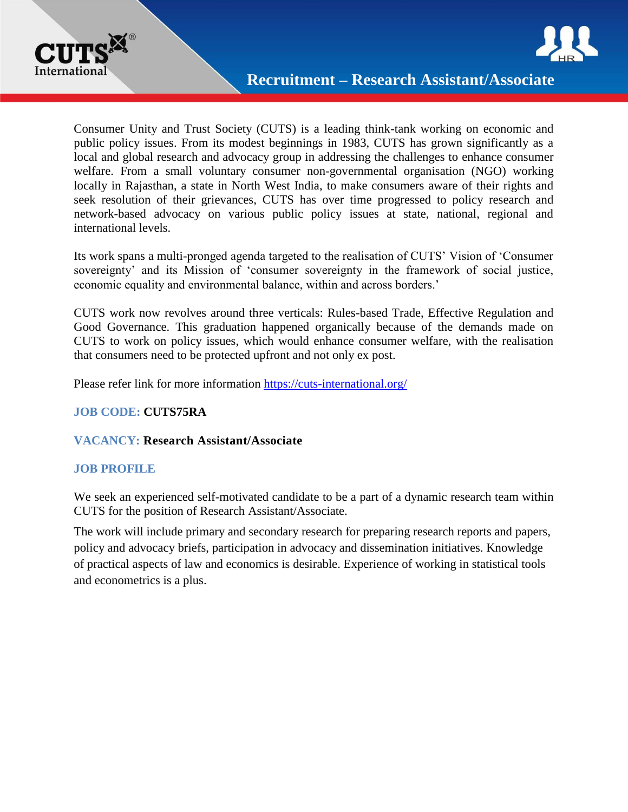



Consumer Unity and Trust Society (CUTS) is a leading think-tank working on economic and public policy issues. From its modest beginnings in 1983, CUTS has grown significantly as a local and global research and advocacy group in addressing the challenges to enhance consumer welfare. From a small voluntary consumer non-governmental organisation (NGO) working locally in Rajasthan, a state in North West India, to make consumers aware of their rights and seek resolution of their grievances, CUTS has over time progressed to policy research and network-based advocacy on various public policy issues at state, national, regional and international levels.

Its work spans a multi-pronged agenda targeted to the realisation of CUTS' Vision of 'Consumer sovereignty' and its Mission of 'consumer sovereignty in the framework of social justice, economic equality and environmental balance, within and across borders.'

CUTS work now revolves around three verticals: Rules-based Trade, Effective Regulation and Good Governance. This graduation happened organically because of the demands made on CUTS to work on policy issues, which would enhance consumer welfare, with the realisation that consumers need to be protected upfront and not only ex post.

Please refer link for more information <https://cuts-international.org/>

# **JOB CODE: CUTS75RA**

## **VACANCY: Research Assistant/Associate**

## **JOB PROFILE**

We seek an experienced self-motivated candidate to be a part of a dynamic research team within CUTS for the position of Research Assistant/Associate.

The work will include primary and secondary research for preparing research reports and papers, policy and advocacy briefs, participation in advocacy and dissemination initiatives. Knowledge of practical aspects of law and economics is desirable. Experience of working in statistical tools and econometrics is a plus.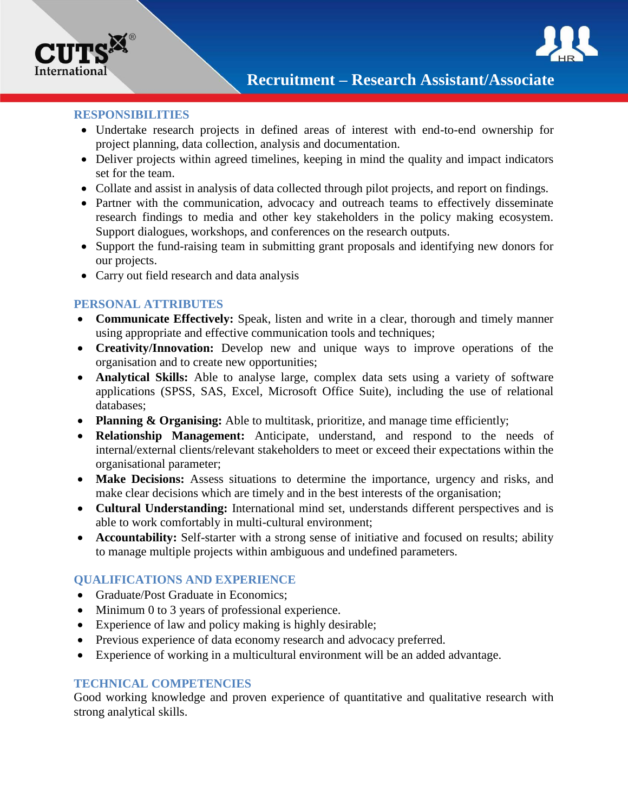

#### **RESPONSIBILITIES**

- Undertake research projects in defined areas of interest with end-to-end ownership for project planning, data collection, analysis and documentation.
- Deliver projects within agreed timelines, keeping in mind the quality and impact indicators set for the team.
- Collate and assist in analysis of data collected through pilot projects, and report on findings.
- Partner with the communication, advocacy and outreach teams to effectively disseminate research findings to media and other key stakeholders in the policy making ecosystem. Support dialogues, workshops, and conferences on the research outputs.
- Support the fund-raising team in submitting grant proposals and identifying new donors for our projects.
- Carry out field research and data analysis

### **PERSONAL ATTRIBUTES**

- **Communicate Effectively:** Speak, listen and write in a clear, thorough and timely manner using appropriate and effective communication tools and techniques;
- **Creativity/Innovation:** Develop new and unique ways to improve operations of the organisation and to create new opportunities;
- **Analytical Skills:** Able to analyse large, complex data sets using a variety of software applications (SPSS, SAS, Excel, Microsoft Office Suite), including the use of relational databases;
- **Planning & Organising:** Able to multitask, prioritize, and manage time efficiently;
- **Relationship Management:** Anticipate, understand, and respond to the needs of internal/external clients/relevant stakeholders to meet or exceed their expectations within the organisational parameter;
- **Make Decisions:** Assess situations to determine the importance, urgency and risks, and make clear decisions which are timely and in the best interests of the organisation;
- **Cultural Understanding:** International mind set, understands different perspectives and is able to work comfortably in multi-cultural environment;
- **Accountability:** Self-starter with a strong sense of initiative and focused on results; ability to manage multiple projects within ambiguous and undefined parameters.

## **QUALIFICATIONS AND EXPERIENCE**

- Graduate/Post Graduate in Economics:
- Minimum 0 to 3 years of professional experience.
- Experience of law and policy making is highly desirable;
- Previous experience of data economy research and advocacy preferred.
- Experience of working in a multicultural environment will be an added advantage.

### **TECHNICAL COMPETENCIES**

Good working knowledge and proven experience of quantitative and qualitative research with strong analytical skills.